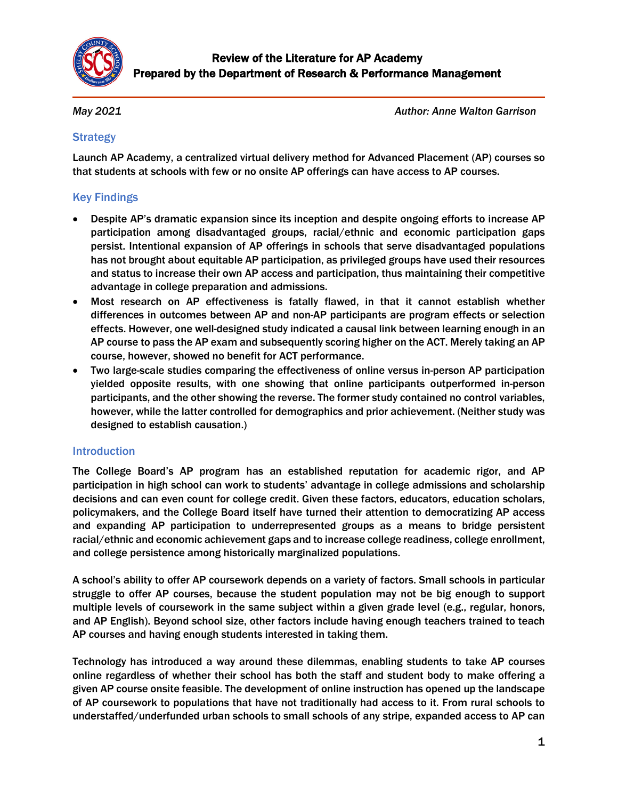

*May 2021*

*Author: Anne Walton Garrison* 

# **Strategy**

Launch AP Academy, a centralized virtual delivery method for Advanced Placement (AP) courses so that students at schools with few or no onsite AP offerings can have access to AP courses.

# Key Findings

- Despite AP's dramatic expansion since its inception and despite ongoing efforts to increase AP participation among disadvantaged groups, racial/ethnic and economic participation gaps persist. Intentional expansion of AP offerings in schools that serve disadvantaged populations has not brought about equitable AP participation, as privileged groups have used their resources and status to increase their own AP access and participation, thus maintaining their competitive advantage in college preparation and admissions.
- Most research on AP effectiveness is fatally flawed, in that it cannot establish whether differences in outcomes between AP and non-AP participants are program effects or selection effects. However, one well-designed study indicated a causal link between learning enough in an AP course to pass the AP exam and subsequently scoring higher on the ACT. Merely taking an AP course, however, showed no benefit for ACT performance.
- Two large-scale studies comparing the effectiveness of online versus in-person AP participation yielded opposite results, with one showing that online participants outperformed in-person participants, and the other showing the reverse. The former study contained no control variables, however, while the latter controlled for demographics and prior achievement. (Neither study was designed to establish causation.)

#### Introduction

The College Board's AP program has an established reputation for academic rigor, and AP participation in high school can work to students' advantage in college admissions and scholarship decisions and can even count for college credit. Given these factors, educators, education scholars, policymakers, and the College Board itself have turned their attention to democratizing AP access and expanding AP participation to underrepresented groups as a means to bridge persistent racial/ethnic and economic achievement gaps and to increase college readiness, college enrollment, and college persistence among historically marginalized populations.

A school's ability to offer AP coursework depends on a variety of factors. Small schools in particular struggle to offer AP courses, because the student population may not be big enough to support multiple levels of coursework in the same subject within a given grade level (e.g., regular, honors, and AP English). Beyond school size, other factors include having enough teachers trained to teach AP courses and having enough students interested in taking them.

Technology has introduced a way around these dilemmas, enabling students to take AP courses online regardless of whether their school has both the staff and student body to make offering a given AP course onsite feasible. The development of online instruction has opened up the landscape of AP coursework to populations that have not traditionally had access to it. From rural schools to understaffed/underfunded urban schools to small schools of any stripe, expanded access to AP can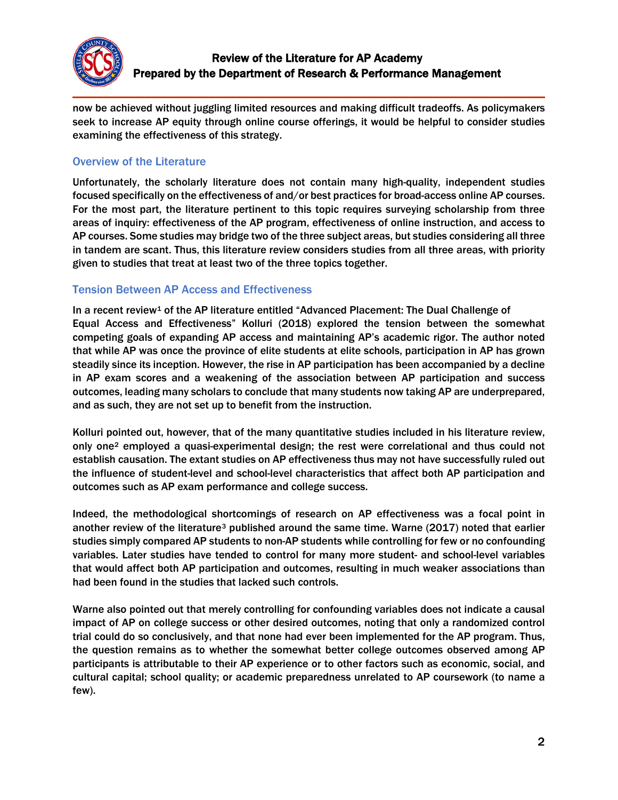

now be achieved without juggling limited resources and making difficult tradeoffs. As policymakers seek to increase AP equity through online course offerings, it would be helpful to consider studies examining the effectiveness of this strategy.

## Overview of the Literature

Unfortunately, the scholarly literature does not contain many high-quality, independent studies focused specifically on the effectiveness of and/or best practices for broad-access online AP courses. For the most part, the literature pertinent to this topic requires surveying scholarship from three areas of inquiry: effectiveness of the AP program, effectiveness of online instruction, and access to AP courses. Some studies may bridge two of the three subject areas, but studies considering all three in tandem are scant. Thus, this literature review considers studies from all three areas, with priority given to studies that treat at least two of the three topics together.

#### Tension Between AP Access and Effectiveness

In a recent review<sup>[1](#page-4-0)</sup> of the AP literature entitled "Advanced Placement: The Dual Challenge of Equal Access and Effectiveness" Kolluri (2018) explored the tension between the somewhat competing goals of expanding AP access and maintaining AP's academic rigor. The author noted that while AP was once the province of elite students at elite schools, participation in AP has grown steadily since its inception. However, the rise in AP participation has been accompanied by a decline in AP exam scores and a weakening of the association between AP participation and success outcomes, leading many scholars to conclude that many students now taking AP are underprepared, and as such, they are not set up to benefit from the instruction.

Kolluri pointed out, however, that of the many quantitative studies included in his literature review, only one[2](#page-4-1) employed a quasi-experimental design; the rest were correlational and thus could not establish causation. The extant studies on AP effectiveness thus may not have successfully ruled out the influence of student-level and school-level characteristics that affect both AP participation and outcomes such as AP exam performance and college success.

Indeed, the methodological shortcomings of research on AP effectiveness was a focal point in another review of the literature<sup>[3](#page-4-2)</sup> published around the same time. Warne (2017) noted that earlier studies simply compared AP students to non-AP students while controlling for few or no confounding variables. Later studies have tended to control for many more student- and school-level variables that would affect both AP participation and outcomes, resulting in much weaker associations than had been found in the studies that lacked such controls.

Warne also pointed out that merely controlling for confounding variables does not indicate a causal impact of AP on college success or other desired outcomes, noting that only a randomized control trial could do so conclusively, and that none had ever been implemented for the AP program. Thus, the question remains as to whether the somewhat better college outcomes observed among AP participants is attributable to their AP experience or to other factors such as economic, social, and cultural capital; school quality; or academic preparedness unrelated to AP coursework (to name a few).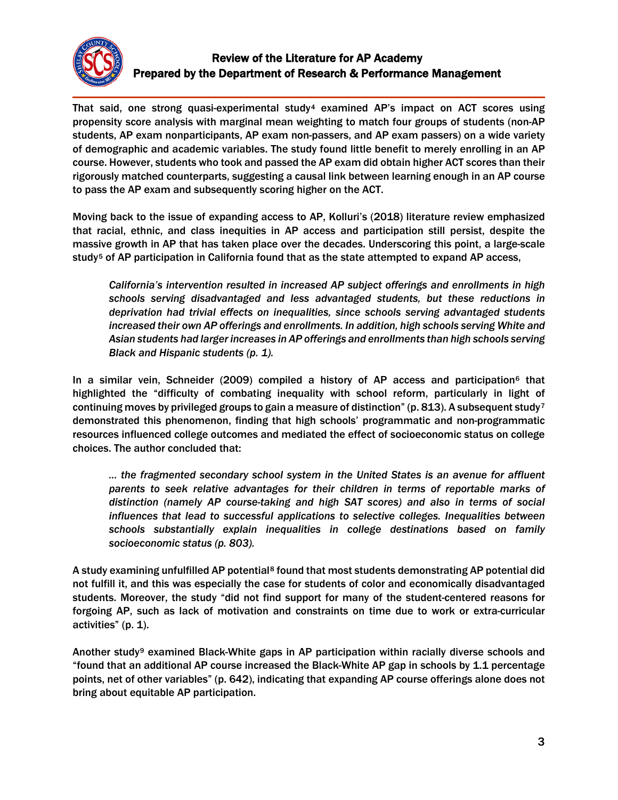

# Review of the Literature for AP Academy Prepared by the Department of Research & Performance Management

That said, one strong quasi-experimental study<sup>[4](#page-5-0)</sup> examined AP's impact on ACT scores using propensity score analysis with marginal mean weighting to match four groups of students (non-AP students, AP exam nonparticipants, AP exam non-passers, and AP exam passers) on a wide variety of demographic and academic variables. The study found little benefit to merely enrolling in an AP course. However, students who took and passed the AP exam did obtain higher ACT scores than their rigorously matched counterparts, suggesting a causal link between learning enough in an AP course to pass the AP exam and subsequently scoring higher on the ACT.

Moving back to the issue of expanding access to AP, Kolluri's (2018) literature review emphasized that racial, ethnic, and class inequities in AP access and participation still persist, despite the massive growth in AP that has taken place over the decades. Underscoring this point, a large-scale study<sup>[5](#page-5-1)</sup> of AP participation in California found that as the state attempted to expand AP access,

*California's intervention resulted in increased AP subject offerings and enrollments in high schools serving disadvantaged and less advantaged students, but these reductions in deprivation had trivial effects on inequalities, since schools serving advantaged students increased their own AP offerings and enrollments. In addition, high schools serving White and Asian students had larger increases in AP offerings and enrollments than high schools serving Black and Hispanic students (p. 1).*

In a similar vein, Schneider (2009) compiled a history of AP access and participation<sup>[6](#page-5-2)</sup> that highlighted the "difficulty of combating inequality with school reform, particularly in light of continuing moves by privileged groups to gain a measure of distinction" (p. 813). A subsequent study<sup>[7](#page-5-3)</sup> demonstrated this phenomenon, finding that high schools' programmatic and non-programmatic resources influenced college outcomes and mediated the effect of socioeconomic status on college choices. The author concluded that:

*… the fragmented secondary school system in the United States is an avenue for affluent parents to seek relative advantages for their children in terms of reportable marks of distinction (namely AP course-taking and high SAT scores) and also in terms of social influences that lead to successful applications to selective colleges. Inequalities between schools substantially explain inequalities in college destinations based on family socioeconomic status (p. 803).*

A study examining unfulfilled AP potential<sup>[8](#page-5-4)</sup> found that most students demonstrating AP potential did not fulfill it, and this was especially the case for students of color and economically disadvantaged students. Moreover, the study "did not find support for many of the student-centered reasons for forgoing AP, such as lack of motivation and constraints on time due to work or extra-curricular activities" (p. 1).

Another study[9](#page-5-5) examined Black-White gaps in AP participation within racially diverse schools and "found that an additional AP course increased the Black-White AP gap in schools by 1.1 percentage points, net of other variables" (p. 642), indicating that expanding AP course offerings alone does not bring about equitable AP participation.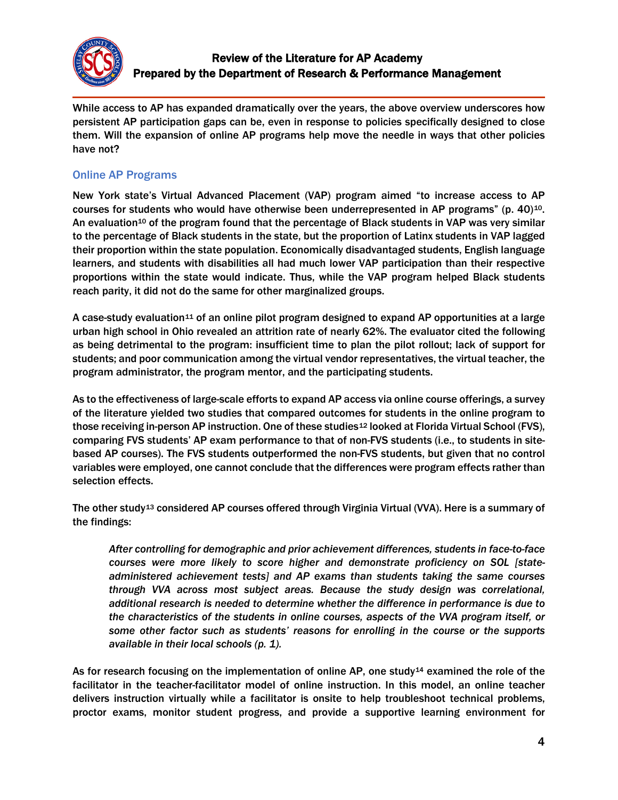

While access to AP has expanded dramatically over the years, the above overview underscores how persistent AP participation gaps can be, even in response to policies specifically designed to close them. Will the expansion of online AP programs help move the needle in ways that other policies have not?

### Online AP Programs

New York state's Virtual Advanced Placement (VAP) program aimed "to increase access to AP courses for students who would have otherwise been underrepresented in AP programs" (p. 40) $^{10}$  $^{10}$  $^{10}$ . An evaluation<sup>10</sup> of the program found that the percentage of Black students in VAP was very similar to the percentage of Black students in the state, but the proportion of Latinx students in VAP lagged their proportion within the state population. Economically disadvantaged students, English language learners, and students with disabilities all had much lower VAP participation than their respective proportions within the state would indicate. Thus, while the VAP program helped Black students reach parity, it did not do the same for other marginalized groups.

A case-study evaluation<sup>[11](#page-5-7)</sup> of an online pilot program designed to expand AP opportunities at a large urban high school in Ohio revealed an attrition rate of nearly 62%. The evaluator cited the following as being detrimental to the program: insufficient time to plan the pilot rollout; lack of support for students; and poor communication among the virtual vendor representatives, the virtual teacher, the program administrator, the program mentor, and the participating students.

As to the effectiveness of large-scale efforts to expand AP access via online course offerings, a survey of the literature yielded two studies that compared outcomes for students in the online program to those receiving in-person AP instruction. One of these studies<sup>[12](#page-5-8)</sup> looked at Florida Virtual School (FVS), comparing FVS students' AP exam performance to that of non-FVS students (i.e., to students in sitebased AP courses). The FVS students outperformed the non-FVS students, but given that no control variables were employed, one cannot conclude that the differences were program effects rather than selection effects.

The other study[13](#page-5-9) considered AP courses offered through Virginia Virtual (VVA). Here is a summary of the findings:

*After controlling for demographic and prior achievement differences, students in face-to-face courses were more likely to score higher and demonstrate proficiency on SOL [stateadministered achievement tests] and AP exams than students taking the same courses through VVA across most subject areas. Because the study design was correlational, additional research is needed to determine whether the difference in performance is due to the characteristics of the students in online courses, aspects of the VVA program itself, or some other factor such as students' reasons for enrolling in the course or the supports available in their local schools (p. 1).*

As for research focusing on the implementation of online AP, one study<sup>[14](#page-5-10)</sup> examined the role of the facilitator in the teacher-facilitator model of online instruction. In this model, an online teacher delivers instruction virtually while a facilitator is onsite to help troubleshoot technical problems, proctor exams, monitor student progress, and provide a supportive learning environment for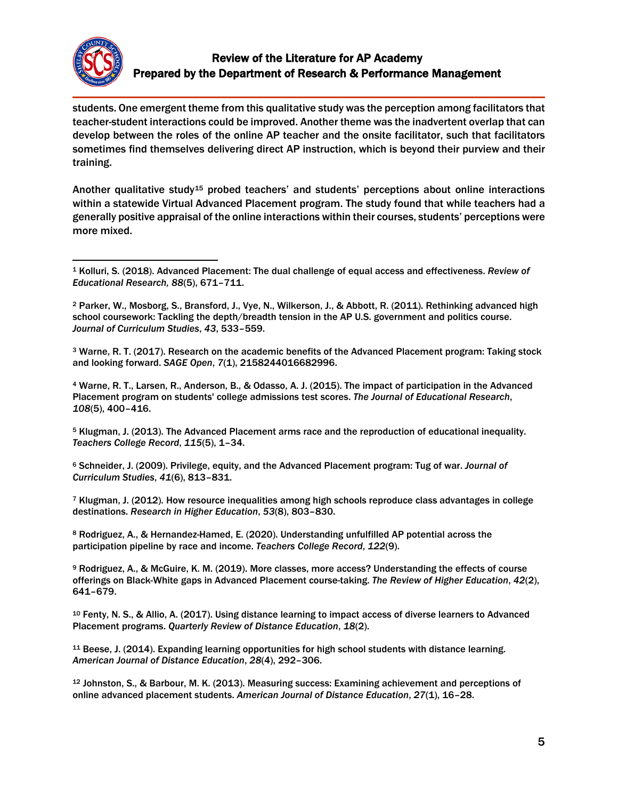

students. One emergent theme from this qualitative study was the perception among facilitators that teacher-student interactions could be improved. Another theme was the inadvertent overlap that can develop between the roles of the online AP teacher and the onsite facilitator, such that facilitators sometimes find themselves delivering direct AP instruction, which is beyond their purview and their training.

Another qualitative study<sup>[15](#page-5-11)</sup> probed teachers' and students' perceptions about online interactions within a statewide Virtual Advanced Placement program. The study found that while teachers had a generally positive appraisal of the online interactions within their courses, students' perceptions were more mixed.

<span id="page-4-2"></span><sup>3</sup> Warne, R. T. (2017). Research on the academic benefits of the Advanced Placement program: Taking stock and looking forward. *SAGE Open*, *7*(1), 2158244016682996.

<sup>4</sup> Warne, R. T., Larsen, R., Anderson, B., & Odasso, A. J. (2015). The impact of participation in the Advanced Placement program on students' college admissions test scores. *The Journal of Educational Research*, *108*(5), 400–416.

<sup>5</sup> Klugman, J. (2013). The Advanced Placement arms race and the reproduction of educational inequality. *Teachers College Record*, *115*(5), 1–34.

<sup>6</sup> Schneider, J. (2009). Privilege, equity, and the Advanced Placement program: Tug of war. *Journal of Curriculum Studies*, *41*(6), 813–831.

<sup>7</sup> Klugman, J. (2012). How resource inequalities among high schools reproduce class advantages in college destinations. *Research in Higher Education*, *53*(8), 803–830.

<sup>8</sup> Rodriguez, A., & Hernandez-Hamed, E. (2020). Understanding unfulfilled AP potential across the participation pipeline by race and income. *Teachers College Record*, *122*(9).

<sup>9</sup> Rodriguez, A., & McGuire, K. M. (2019). More classes, more access? Understanding the effects of course offerings on Black-White gaps in Advanced Placement course-taking. *The Review of Higher Education*, *42*(2), 641–679.

<sup>10</sup> Fenty, N. S., & Allio, A. (2017). Using distance learning to impact access of diverse learners to Advanced Placement programs. *Quarterly Review of Distance Education*, *18*(2).

<sup>11</sup> Beese, J. (2014). Expanding learning opportunities for high school students with distance learning. *American Journal of Distance Education*, *28*(4), 292–306.

<sup>12</sup> Johnston, S., & Barbour, M. K. (2013). Measuring success: Examining achievement and perceptions of online advanced placement students. *American Journal of Distance Education*, *27*(1), 16–28.

<span id="page-4-0"></span><sup>1</sup> Kolluri, S. (2018). Advanced Placement: The dual challenge of equal access and effectiveness. *Review of Educational Research, 88*(5), 671–711.  $\overline{a}$ 

<span id="page-4-1"></span><sup>2</sup> Parker, W., Mosborg, S., Bransford, J., Vye, N., Wilkerson, J., & Abbott, R. (2011). Rethinking advanced high school coursework: Tackling the depth/breadth tension in the AP U.S. government and politics course. *Journal of Curriculum Studies*, *43*, 533–559.